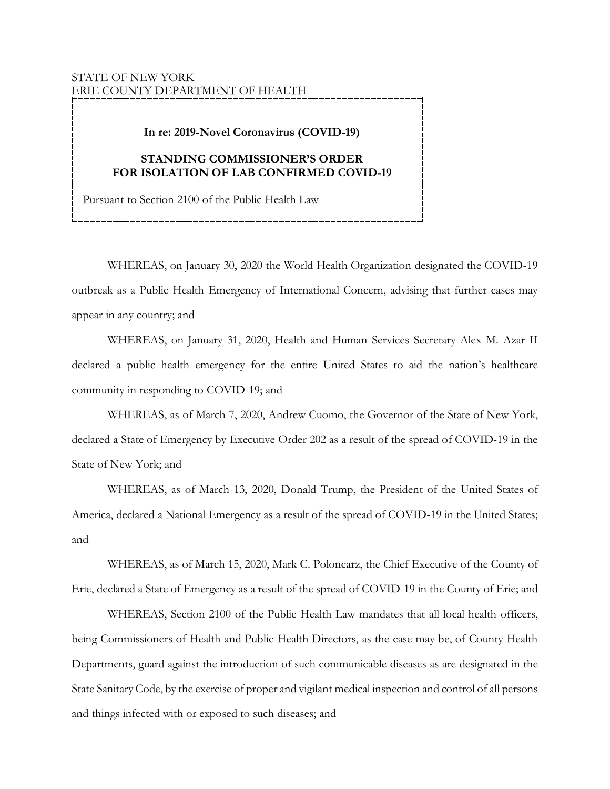## STATE OF NEW YORK ERIE COUNTY DEPARTMENT OF HEALTH

## **In re: 2019-Novel Coronavirus (COVID-19)**

## **STANDING COMMISSIONER'S ORDER FOR ISOLATION OF LAB CONFIRMED COVID-19**

Pursuant to Section 2100 of the Public Health Law

WHEREAS, on January 30, 2020 the World Health Organization designated the COVID-19 outbreak as a Public Health Emergency of International Concern, advising that further cases may appear in any country; and

WHEREAS, on January 31, 2020, Health and Human Services Secretary Alex M. Azar II declared a public health emergency for the entire United States to aid the nation's healthcare community in responding to COVID-19; and

WHEREAS, as of March 7, 2020, Andrew Cuomo, the Governor of the State of New York, declared a State of Emergency by Executive Order 202 as a result of the spread of COVID-19 in the State of New York; and

WHEREAS, as of March 13, 2020, Donald Trump, the President of the United States of America, declared a National Emergency as a result of the spread of COVID-19 in the United States; and

WHEREAS, as of March 15, 2020, Mark C. Poloncarz, the Chief Executive of the County of Erie, declared a State of Emergency as a result of the spread of COVID-19 in the County of Erie; and

WHEREAS, Section 2100 of the Public Health Law mandates that all local health officers, being Commissioners of Health and Public Health Directors, as the case may be, of County Health Departments, guard against the introduction of such communicable diseases as are designated in the State Sanitary Code, by the exercise of proper and vigilant medical inspection and control of all persons and things infected with or exposed to such diseases; and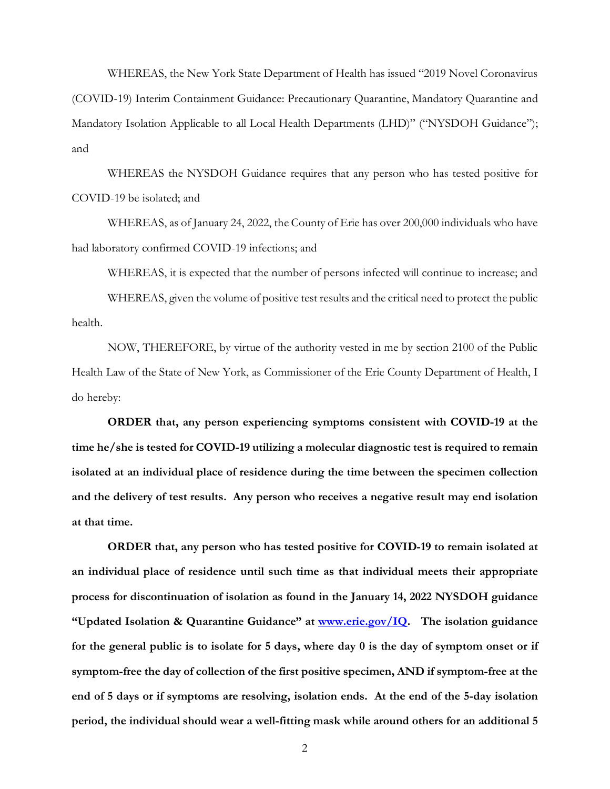WHEREAS, the New York State Department of Health has issued "2019 Novel Coronavirus (COVID-19) Interim Containment Guidance: Precautionary Quarantine, Mandatory Quarantine and Mandatory Isolation Applicable to all Local Health Departments (LHD)" ("NYSDOH Guidance"); and

WHEREAS the NYSDOH Guidance requires that any person who has tested positive for COVID-19 be isolated; and

WHEREAS, as of January 24, 2022, the County of Erie has over 200,000 individuals who have had laboratory confirmed COVID-19 infections; and

WHEREAS, it is expected that the number of persons infected will continue to increase; and

WHEREAS, given the volume of positive test results and the critical need to protect the public health.

NOW, THEREFORE, by virtue of the authority vested in me by section 2100 of the Public Health Law of the State of New York, as Commissioner of the Erie County Department of Health, I do hereby:

**ORDER that, any person experiencing symptoms consistent with COVID-19 at the time he/she is tested for COVID-19 utilizing a molecular diagnostic test is required to remain isolated at an individual place of residence during the time between the specimen collection and the delivery of test results. Any person who receives a negative result may end isolation at that time.** 

**ORDER that, any person who has tested positive for COVID-19 to remain isolated at an individual place of residence until such time as that individual meets their appropriate process for discontinuation of isolation as found in the January 14, 2022 NYSDOH guidance "Updated Isolation & Quarantine Guidance" at [www.erie.gov/IQ.](https://www2.erie.gov/health/index.php?q=ecdoh-covid-19-isolation-and-quarantine-documents) The isolation guidance for the general public is to isolate for 5 days, where day 0 is the day of symptom onset or if symptom-free the day of collection of the first positive specimen, AND if symptom-free at the end of 5 days or if symptoms are resolving, isolation ends. At the end of the 5-day isolation period, the individual should wear a well-fitting mask while around others for an additional 5**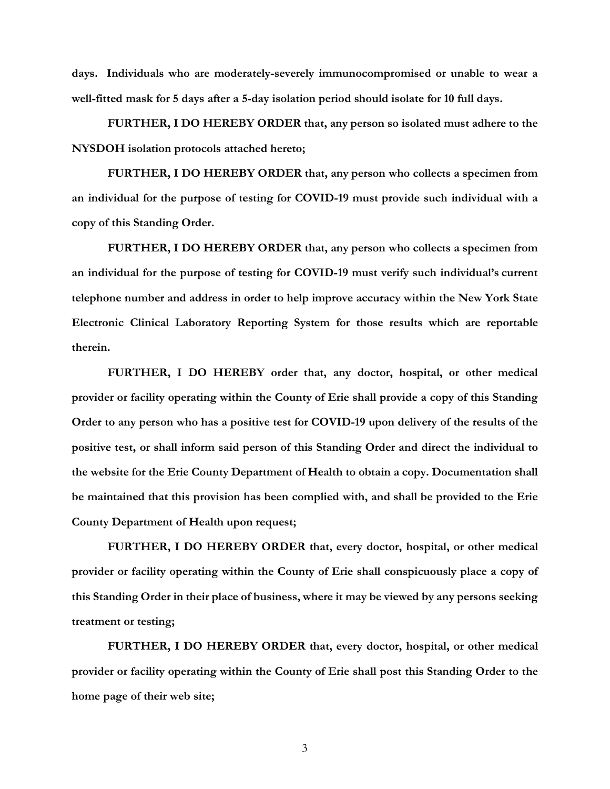**days. Individuals who are moderately-severely immunocompromised or unable to wear a well-fitted mask for 5 days after a 5-day isolation period should isolate for 10 full days.**

**FURTHER, I DO HEREBY ORDER that, any person so isolated must adhere to the NYSDOH isolation protocols attached hereto;**

**FURTHER, I DO HEREBY ORDER that, any person who collects a specimen from an individual for the purpose of testing for COVID-19 must provide such individual with a copy of this Standing Order.** 

**FURTHER, I DO HEREBY ORDER that, any person who collects a specimen from an individual for the purpose of testing for COVID-19 must verify such individual's current telephone number and address in order to help improve accuracy within the New York State Electronic Clinical Laboratory Reporting System for those results which are reportable therein.** 

**FURTHER, I DO HEREBY order that, any doctor, hospital, or other medical provider or facility operating within the County of Erie shall provide a copy of this Standing Order to any person who has a positive test for COVID-19 upon delivery of the results of the positive test, or shall inform said person of this Standing Order and direct the individual to the website for the Erie County Department of Health to obtain a copy. Documentation shall be maintained that this provision has been complied with, and shall be provided to the Erie County Department of Health upon request;**

**FURTHER, I DO HEREBY ORDER that, every doctor, hospital, or other medical provider or facility operating within the County of Erie shall conspicuously place a copy of this Standing Order in their place of business, where it may be viewed by any persons seeking treatment or testing;**

**FURTHER, I DO HEREBY ORDER that, every doctor, hospital, or other medical provider or facility operating within the County of Erie shall post this Standing Order to the home page of their web site;**

3